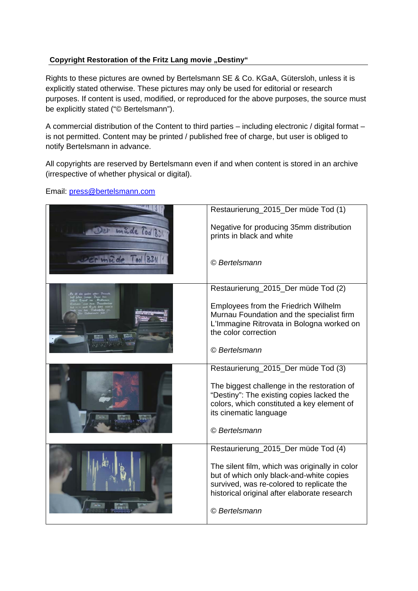## **Copyright Restoration of the Fritz Lang movie "Destiny"**

Rights to these pictures are owned by Bertelsmann SE & Co. KGaA, Gütersloh, unless it is explicitly stated otherwise. These pictures may only be used for editorial or research purposes. If content is used, modified, or reproduced for the above purposes, the source must be explicitly stated ("© Bertelsmann").

A commercial distribution of the Content to third parties – including electronic / digital format – is not permitted. Content may be printed / published free of charge, but user is obliged to notify Bertelsmann in advance.

All copyrights are reserved by Bertelsmann even if and when content is stored in an archive (irrespective of whether physical or digital).

Email: press@bertelsmann.com

|                       | Restaurierung_2015_Der müde Tod (1)                                                                                                                                                     |
|-----------------------|-----------------------------------------------------------------------------------------------------------------------------------------------------------------------------------------|
| <b>Inide Tool BDW</b> | Negative for producing 35mm distribution<br>prints in black and white                                                                                                                   |
| Der medde lool BDI    | © Bertelsmann                                                                                                                                                                           |
|                       | Restaurierung_2015_Der müde Tod (2)                                                                                                                                                     |
|                       | Employees from the Friedrich Wilhelm<br>Murnau Foundation and the specialist firm<br>L'Immagine Ritrovata in Bologna worked on<br>the color correction                                  |
|                       | © Bertelsmann                                                                                                                                                                           |
|                       | Restaurierung_2015_Der müde Tod (3)                                                                                                                                                     |
|                       | The biggest challenge in the restoration of<br>"Destiny": The existing copies lacked the<br>colors, which constituted a key element of<br>its cinematic language                        |
|                       | © Bertelsmann                                                                                                                                                                           |
|                       | Restaurierung_2015_Der müde Tod (4)                                                                                                                                                     |
|                       | The silent film, which was originally in color<br>but of which only black-and-white copies<br>survived, was re-colored to replicate the<br>historical original after elaborate research |
|                       | © Bertelsmann                                                                                                                                                                           |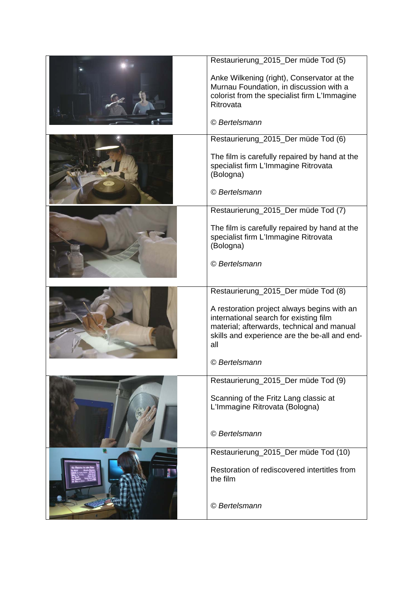| Restaurierung_2015_Der müde Tod (5)                                                                                                                                                         |
|---------------------------------------------------------------------------------------------------------------------------------------------------------------------------------------------|
| Anke Wilkening (right), Conservator at the<br>Murnau Foundation, in discussion with a<br>colorist from the specialist firm L'Immagine<br>Ritrovata                                          |
| © Bertelsmann                                                                                                                                                                               |
| Restaurierung_2015_Der müde Tod (6)                                                                                                                                                         |
| The film is carefully repaired by hand at the<br>specialist firm L'Immagine Ritrovata<br>(Bologna)                                                                                          |
| © Bertelsmann                                                                                                                                                                               |
| Restaurierung_2015_Der müde Tod (7)                                                                                                                                                         |
| The film is carefully repaired by hand at the<br>specialist firm L'Immagine Ritrovata<br>(Bologna)                                                                                          |
| © Bertelsmann                                                                                                                                                                               |
| Restaurierung_2015_Der müde Tod (8)                                                                                                                                                         |
|                                                                                                                                                                                             |
| A restoration project always begins with an<br>international search for existing film<br>material; afterwards, technical and manual<br>skills and experience are the be-all and end-<br>all |
| © Bertelsmann                                                                                                                                                                               |
| Restaurierung_2015_Der müde Tod (9)                                                                                                                                                         |
| Scanning of the Fritz Lang classic at<br>L'Immagine Ritrovata (Bologna)                                                                                                                     |
| © Bertelsmann                                                                                                                                                                               |
| Restaurierung_2015_Der müde Tod (10)                                                                                                                                                        |
| Restoration of rediscovered intertitles from<br>the film                                                                                                                                    |